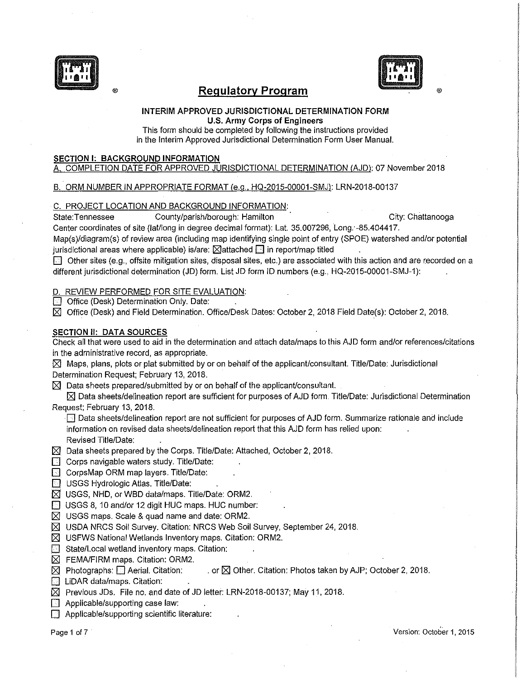

# ® **Regulatory Program**

#### **INTERIM APPROVED JURISDICTIONAL DETERMINATION FORM U.S. Army Corps of Engineers**

This form should be completed by following the instructions provided in the Interim Approved Jurisdictional Determination Form User Manual.

### **SECTION I: BACKGROUND INFORMATION**

### A. COMPLETION DATE FOR APPROVED JURISDICTIONAL DETERMINATION (AJD): 07 November2018

### B. ORM NUMBER IN APPROPRIATE FORMAT (e.g., HQ-2015-00001-SMJ): LRN-2018-00137

### C. PROJECT LOCATION AND BACKGROUND INFORMATION:

State:Tennessee County/parish/borough: Hamilton County City: Chattanooga

®

Center coordinates of site (lat/long in degree decimal format): Lat. 35.007296, Long. -85.404417.

Map(s)/diagram(s) of review area (including map identifying single point of entry (SPOE) watershed and/or potential jurisdictional areas where applicable) is/are:  $\boxtimes$  attached  $\boxdot$  in report/map titled

**D** Other sites (e.g., offsite mitigation sites, disposal sites, etc.) are associated with this action and are recorded on a different jurisdictional determination (JD) form. List JD form ID numbers (e.g., HQ-2015-00001-SMJ-1):

#### D. REVIEW PERFORMED FOR SITE EVALUATION:

**is Office (Desk) Determination Only. Date:** 

IZ] Office (Desk) and Field Determination. Office/Desk Dates: October 2, 2018 Field Date(s): October 2, 2018.

### **SECTION II: DATA SOURCES**

Check all that were used to aid in the determination and attach data/maps to this AJD form and/or references/citations in the administrative record, as appropriate.

 $\boxtimes$  Maps, plans, plots or plat submitted by or on behalf of the applicant/consultant. Title/Date: Jurisdictional Determination Request; February 13, 2018.

 $\boxtimes$  Data sheets prepared/submitted by or on behalf of the applicant/consultant.

 $\boxtimes$  Data sheets/delineation report are sufficient for purposes of AJD form. Title/Date: Jurisdictional Determination Request; February 13, 2018.

 $\Box$  Data sheets/delineation report are not sufficient for purposes of AJD form. Summarize rationale and include information on revised data sheets/delineation report that this AJD form has relied upon: Revised Title/Date:

 $\boxtimes$  Data sheets prepared by the Corps. Title/Date: Attached, October 2, 2018.

- $\Box$  Corps navigable waters study. Title/Date:
- **D** CorpsMap ORM map layers. Title/Date:
- **8 USGS Hydrologic Atlas. Title/Date:**
- $\boxtimes$  USGS, NHD, or WBD data/maps. Title/Date: ORM2.
- **D** USGS 8, 10 and/or 12 digit HUC maps. HUC number:
- $\boxtimes$  USGS maps. Scale & quad name and date: ORM2.
- $\boxtimes$  USDA NRCS Soil Survey. Citation: NRCS Web Soil Survey, September 24, 2018.
- $\boxtimes$  USFWS National Wetlands Inventory maps. Citation: ORM2.
- **D** State/Local wetland inventory maps. Citation:
- $\boxtimes$  FEMA/FIRM maps. Citation: ORM2.
- $[$  $\boxtimes$  Photographs:  $\Box$  Aerial. Citation: ... or  $[$  $\boxtimes$  Other. Citation: Photos taken by AJP; October 2, 2018.
- **D** LiDAR data/maps. Citation:
- $\boxtimes$  Previous JDs. File no. and date of JD letter: LRN-2018-00137; May 11, 2018.
- $\Box$  Applicable/supporting case law:
- **D** Applicable/supporting scientific literature: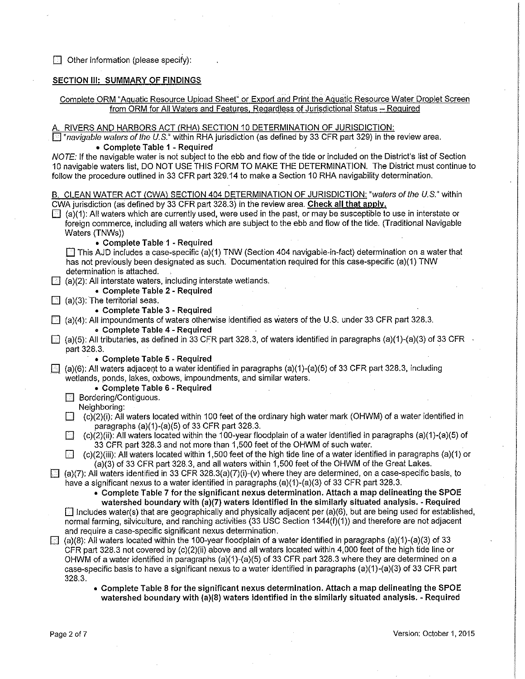$\Box$  Other information (please specify):

### SECTION III: SUMMARY OF FINDINGS

### Complete ORM "Aquatic Resource Upload Sheet" or Export and Print the Aquatic Resource Water Droplet Screen from ORM for All Waters and Features. Regardless of Jurisdictional Status - Required

#### A. RIVERS AND HARBORS ACT (RHA) SECTION 10 DETERMINATION OF JURISDICTION:

 $\boxed{\circledcirc}$  "navigable waters of the U.S." within RHA jurisdiction (as defined by 33 CFR part 329) in the review area. • Complete Table 1 - Required

NOTE: If the navigable water is not subject to the ebb and flow of the tide or included on the District's list of Section 10 navigable waters list, DO NOT USE THIS FORM TO MAKE THE DETERMINATION. The District must continue to follow the procedure outlined in 33 CFR part 329. 14 to make a Section 10 RHA navigability determination.

B. CLEAN WATER ACT (CWA) SECTION 404 DETERMINATION OF JURISDICTION: "waters of the U.S." within CWA jurisdiction (as defined by 33 CFR part 328.3) in the review area. Check all that apply.  $\Box$  (a)(1): All waters which are currently used, were used in the past, or may be susceptible to use in interstate or foreign commerce, including all waters which are subject to the ebb and flow of the tide. (Traditional Navigable Waters (TNWs)) • Complete Table 1 - Required  $\Box$  This AJD includes a case-specific (a)(1) TNW (Section 404 navigable-in-fact) determination on a water that has not previously been designated as such. Documentation required for this case-specific (a)(1)TNW determination is attached.  $\boxdot$  (a)(2): All interstate waters, including interstate wetlands. · • Complete Table 2 - Required  $\Box$  (a)(3): The territorial seas. • Complete Table 3 - Required  $\Box$  (a)(4): All impoundments of waters otherwise identified as waters of the U.S. under 33 CFR part 328.3. • Complete Table 4 - Required  $\Box$  (a)(5): All tributaries, as defined in 33 CFR part 328.3, of waters identified in paragraphs (a)(1)-(a)(3) of 33 CFR part 328.3. • Complete Table 5 - Required  $\Box$  (a)(6): All waters adjacent to a water identified in paragraphs (a)(1)-(a)(5) of 33 CFR part 328.3, including wetlands, ponds, lakes, oxbows, impoundments, and similar waters. • Complete Table 6 - Required **E** Bordering/Contiguous. Neighboring:  $\Box$  (c)(2)(i): All waters located within 100 feet of the ordinary high water mark (OHWM) of a water identified in paragraphs (a)(1)-(a)(5) of 33 CFR part 328.3.  $\Box$  (c)(2)(ii): All waters located within the 100-year floodplain of a water identified in paragraphs (a)(1)-(a)(5) of  $33$  CFR part 328.3 and not more than 1,500 feet of the OHWM of such water.  $\Box$  (c)(2)(iii): All waters located within 1,500 feet of the high tide line of a water identified in paragraphs (a)(1) or (a)(3) of 33 CFR part 328.3, and all waters within 1,500 feet of the OHWM of the Great Lakes.  $\Box$  (a)(7): All waters identified in 33 CFR 328.3(a)(7)(i)-(v) where they are determined, on a case-specific basis, to have a significant nexus to a water identified in paragraphs (a)(1)-(a)(3) of 33 CFR part 328.3. • Complete Table 7 for the significant nexus determination. Attach a map delineating the SPOE watershed boundary with (a)(7) waters identified in the similarly situated analysis. - Required  $\Box$  Includes water(s) that are geographically and physically adjacent per (a)(6), but are being used for established, normal farming, silviculture, and ranching activities (33 USC Section  $1344(f)(1)$ ) and therefore are not adjacent and require a case-specific significant nexus determination.  $\Box$  (a)(8): All waters located within the 100-year floodplain of a water identified in paragraphs (a)(1)-(a)(3) of 33 CFR part 328.3 not covered by (c)(2)(ii) above and all waters located within 4,000 feet of the high tide line or OHWM of a water identified in paragraphs (a)(1)-(a)(5) of 33 CFR part 328.3 where they are determined on a case-specific basis to have a significant nexus to a water identified in paragraphs (a)(1)-(a)(3) of 33 CFR part 328.3.

• Complete Table 8 for the significant nexus determination. Attach a map delineating the SPOE watershed boundary with  $(a)(8)$  waters identified in the similarly situated analysis. - Required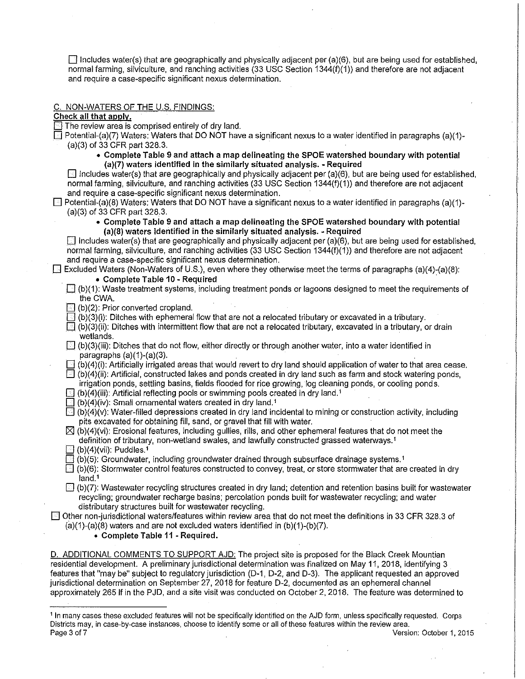$\Box$  Includes water(s) that are geographically and physically adjacent per (a)(6), but are being used for established, normal farming, silviculture, and ranching activities (33 USC Section 1344(1)(1)) and therefore are not adjacent and require a case-specific significant nexus determination.

#### C. NON-WATERS OF THE U.S. FINDINGS:

Check all that apply.

 $\Box$  The review area is comprised entirely of dry land.

 $\Box$  Potential-(a)(7) Waters: Waters that DO NOT have a significant nexus to a water identified in paragraphs (a)(1)-(a)(3) of 33 CFR part 328.3.

• Complete Table 9 and attach a map delineating the SPOE watershed boundary with potential (a)(7) waters identified in the similarly situated analysis. - Required

 $\Box$  Includes water(s) that are geographically and physically adjacent per (a)(6), but are being used for established, normal farming, silviculture, and ranching activities (33 USC Section 1344(1)(1)) and therefore are not adjacent and require a case-specific significant nexus determination.

- 0 Potential-(a)(8) Waters: Waters that DO NOT have a significant nexus to a water identified in paragraphs (a)(1)-  $(a)(3)$  of 33 CFR part 328.3.
	- Complete Table 9 and attach a map delineating the SPOE watershed boundary with potential (a)(8) waters identified in the similarly situated analysis. - Required

 $\Box$  Includes water(s) that are geographically and physically adjacent per (a)(6), but are being used for established, normal farming, silviculture, and ranching activities (33 USC Section 1344(1)(1)) and therefore are not adjacent and require a case-specific significant nexus determination.

 $\Box$  Excluded Waters (Non-Waters of U.S.), even where they otherwise meet the terms of paragraphs (a)(4)-(a)(8):

- . Complete Table 10 Required ·
- $\Box$  (b)(1): Waste treatment systems, including treatment ponds or lagoons designed to meet the requirements of the CWA.
- $\Box$  (b)(2): Prior converted cropland.
- $\Box$  (b)(3)(i): Ditches with ephemeral flow that are not a relocated tributary or excavated in a tributary.

 $\Box$  (b)(3)(ii): Ditches with intermittent flow that are not a relocated tributary, excavated in a tributary, or drain wetlands. wetlands. ·

- $\Box$  (b)(3)(iii): Ditches that do not flow, either directly or through another water, into a water identified in paragraphs (a)(1)-(a)(3).
- $\Box$  (b)(4)(i): Artificially irrigated areas that would revert to dry land should application of water to that area cease.  $\Box$  (b)(4)(ii): Artificial, constructed lakes and ponds created in dry land such as farm and stock watering ponds,
- irrigation ponds, settling basins, fields flooded for rice growing, log cleaning ponds, or cooling ponds.
- $\Box$  (b)(4)(iii): Artificial reflecting pools or swimming pools created in dry land.<sup>1</sup>
- $\Box$  (b)(4)(iv): Small ornamental waters created in dry land.<sup>1</sup>
- $\Box$ (b)(4)(v): Water-filled depressions created in dry land incidental to mining or construction activity, including pits excavated for obtaining fill, sand, or gravel that fill with water.

 $\boxtimes$  (b)(4)(vi): Erosional features, including gullies, rills, and other ephemeral features that do not meet the definition of tributary, non-wetland swales, and lawfully constructed grassed waterways. <sup>1</sup>

- $(b)(4)(vii)$ : Puddles.<sup>1</sup>
- $\boxdot$  (b)(5): Groundwater, including groundwater drained through subsurface drainage systems.<sup>1</sup>

 $\square$  (b)(6): Stormwater control features constructed to convey, treat, or store stormwater that are created in dry land.<sup>1</sup>

 $\Box$  (b)(7): Wastewater recycling structures created in dry land; detention and retention basins built for wastewater recycling; groundwater recharge basins; percolation ponds built for wastewater recycling; and water distributary structures built for wastewater recycling.

 $\Box$  Other non-jurisdictional waters/features within review area that do not meet the definitions in 33 CFR 328.3 of  $(a)(1)-(a)(8)$  waters and are not excluded waters identified in  $(b)(1)-(b)(7)$ .

• Complete Table 11 - Required.

D. ADDITIONAL COMMENTS TO SUPPORT AJD: The project site is proposed for the Black Creek Mountian residential development. A preliminary jurisdictional determination was finalized on May 11, 2018, identifying 3 features that "may be" subject to regulatory jurisdiction (D-1, D-2, and D-3). The applicant requested an approved jurisdictional determination on September 27, 2018 for feature D-2, documented as an ephemeral channel approximately 265 If in the PJD, and a site visit was conducted on October 2, 2018. The feature was determined to

<sup>1</sup>In many cases these excluded features will not be specifically identified on the AJD form, unless specifically requested. Corps **Districts may, in case-by-case instances, choose to identify some or all of these features within the review area.**  Page 3 of 7 Version: October 1, 2015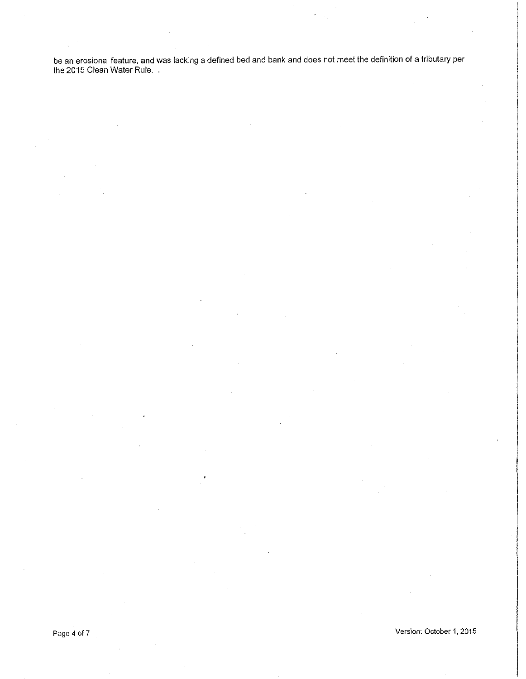be an erosional feature, and was lacking a defined bed and bank and does not meet the definition of a tributary per<br>the 2015 Clean Water Rule. .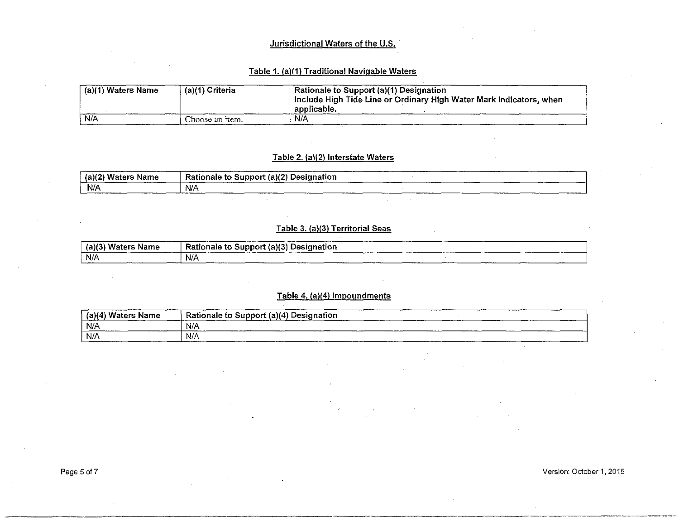## Jurisdictional Waters of the U.S.

## Table 1. (a)(1) Traditional Navigable Waters

| (a)(1) Waters Name | (a)(1) Criteria | Rationale to Support (a)(1) Designation<br>Include High Tide Line or Ordinary High Water Mark indicators, when<br>$\pm$ applicable. |
|--------------------|-----------------|-------------------------------------------------------------------------------------------------------------------------------------|
| N/A                | Choose an item. | N/A                                                                                                                                 |

# Table 2. (a)(2) Interstate Waters

| (5)(2)<br>Waters<br>Name | Rationale to Support (a)(2) Designation |  |
|--------------------------|-----------------------------------------|--|
| N/A                      | N/A                                     |  |

## Table 3. (a)(3) Territorial Seas

| ا Waters Name<br>, (a)(3` | Rationale to Support (a)(3) Designation<br>________ |             | ______ |
|---------------------------|-----------------------------------------------------|-------------|--------|
| N/A<br>_                  | N/A                                                 | ___________ |        |

### Table 4. (a)(4) Impoundments

| (a)(4) Waters Name<br>_______________ | Rationale to Support (a)(4) Designation |
|---------------------------------------|-----------------------------------------|
| N/A                                   | N/A<br>___                              |
| N/A                                   | N/A                                     |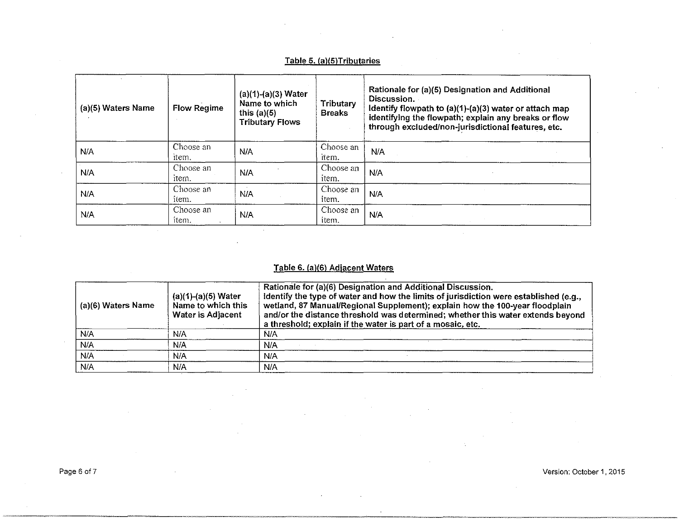# Table 5. (a)(5)Tributaries

| (a)(5) Waters Name | <b>Flow Regime</b> | $(a)(1)-(a)(3)$ Water<br>Name to which<br>this $(a)(5)$<br><b>Tributary Flows</b> | Tributary<br><b>Breaks</b> | Rationale for (a)(5) Designation and Additional<br>Discussion.<br>Identify flowpath to (a)(1)-(a)(3) water or attach map<br>identifying the flowpath; explain any breaks or flow<br>through excluded/non-jurisdictional features, etc. |
|--------------------|--------------------|-----------------------------------------------------------------------------------|----------------------------|----------------------------------------------------------------------------------------------------------------------------------------------------------------------------------------------------------------------------------------|
| N/A                | Choose an<br>item. | N/A                                                                               | Choose an<br>item.         | N/A                                                                                                                                                                                                                                    |
| N/A                | Choose an<br>item. | N/A                                                                               | Choose an<br>item.         | N/A                                                                                                                                                                                                                                    |
| N/A                | Choose an<br>item. | N/A                                                                               | Choose an<br>item.         | N/A                                                                                                                                                                                                                                    |
| N/A                | Choose an<br>item. | N/A                                                                               | Choose an<br><i>item.</i>  | N/A                                                                                                                                                                                                                                    |

# Table 6. (a)(6) Adjacent Waters

| (a)(6) Waters Name | $(a)(1)-(a)(5)$ Water<br>Name to which this<br>Water is Adjacent | Rationale for (a)(6) Designation and Additional Discussion.<br>Identify the type of water and how the limits of jurisdiction were established (e.g.,<br>wetland, 87 Manual/Regional Supplement); explain how the 100-year floodplain<br>and/or the distance threshold was determined; whether this water extends beyond<br>a threshold; explain if the water is part of a mosaic, etc. |
|--------------------|------------------------------------------------------------------|----------------------------------------------------------------------------------------------------------------------------------------------------------------------------------------------------------------------------------------------------------------------------------------------------------------------------------------------------------------------------------------|
| N/A                | N/A                                                              | Ń.A                                                                                                                                                                                                                                                                                                                                                                                    |
| N/A                | N/A                                                              | N/A                                                                                                                                                                                                                                                                                                                                                                                    |
| N/A                | N/A                                                              | N/A                                                                                                                                                                                                                                                                                                                                                                                    |
| N/A                | N/A                                                              | N/A                                                                                                                                                                                                                                                                                                                                                                                    |

~-~~-~--------------~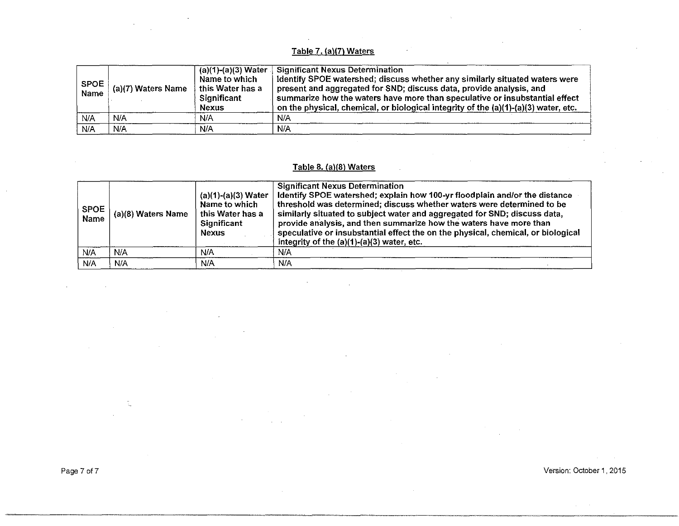# Table 7. (a)(7) Waters

| <b>SPOE</b><br><b>Name</b> | ' (a)(7) Waters Name | $(a)(1)-(a)(3)$ Water<br>Name to which<br>this Water has a<br>Significant<br>Nexus | <b>Significant Nexus Determination</b><br>Identify SPOE watershed; discuss whether any similarly situated waters were<br>present and aggregated for SND; discuss data, provide analysis, and<br>summarize how the waters have more than speculative or insubstantial effect<br>on the physical, chemical, or biological integrity of the (a)(1)-(a)(3) water, etc. |
|----------------------------|----------------------|------------------------------------------------------------------------------------|--------------------------------------------------------------------------------------------------------------------------------------------------------------------------------------------------------------------------------------------------------------------------------------------------------------------------------------------------------------------|
| N/A                        | N/A                  | N/A                                                                                | N/A                                                                                                                                                                                                                                                                                                                                                                |
| N/A                        | N/A                  | N/A                                                                                | N/A                                                                                                                                                                                                                                                                                                                                                                |

### Table 8. (a)(8) Waters

| <b>SPOE</b><br><b>Name</b> | (a)(8) Waters Name | $(a)(1)-(a)(3)$ Water<br>Name to which<br>this Water has a<br>Significant<br><b>Nexus</b> | <b>Significant Nexus Determination</b><br>Identify SPOE watershed; explain how 100-yr floodplain and/or the distance<br>threshold was determined; discuss whether waters were determined to be<br>similarly situated to subject water and aggregated for SND; discuss data,<br>provide analysis, and then summarize how the waters have more than<br>speculative or insubstantial effect the on the physical, chemical, or biological<br>integrity of the $(a)(1)-(a)(3)$ water, etc. |
|----------------------------|--------------------|-------------------------------------------------------------------------------------------|---------------------------------------------------------------------------------------------------------------------------------------------------------------------------------------------------------------------------------------------------------------------------------------------------------------------------------------------------------------------------------------------------------------------------------------------------------------------------------------|
| N/A                        | N/A                | N/A                                                                                       | N/A                                                                                                                                                                                                                                                                                                                                                                                                                                                                                   |
| N/A                        | N/A                | N/A                                                                                       | N/A                                                                                                                                                                                                                                                                                                                                                                                                                                                                                   |

 $\mathcal{L}_{\mathcal{A}}$ 

Page 7 of 7 Version: October 1, 2015

 $\bar{\zeta}_c$